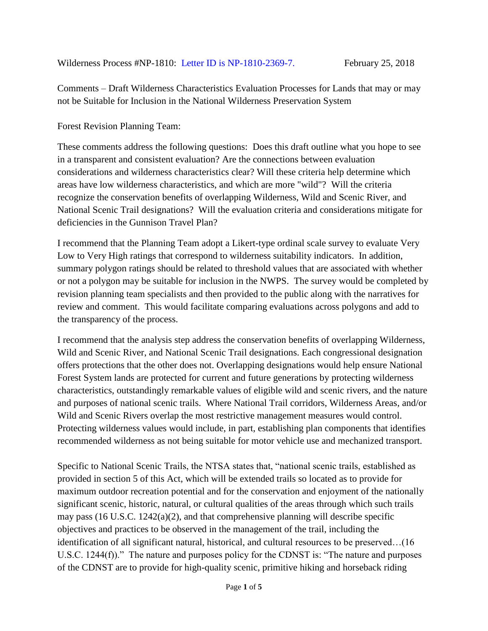Comments – Draft Wilderness Characteristics Evaluation Processes for Lands that may or may not be Suitable for Inclusion in the National Wilderness Preservation System

Forest Revision Planning Team:

These comments address the following questions: Does this draft outline what you hope to see in a transparent and consistent evaluation? Are the connections between evaluation considerations and wilderness characteristics clear? Will these criteria help determine which areas have low wilderness characteristics, and which are more "wild"? Will the criteria recognize the conservation benefits of overlapping Wilderness, Wild and Scenic River, and National Scenic Trail designations? Will the evaluation criteria and considerations mitigate for deficiencies in the Gunnison Travel Plan?

I recommend that the Planning Team adopt a Likert-type ordinal scale survey to evaluate Very Low to Very High ratings that correspond to wilderness suitability indicators. In addition, summary polygon ratings should be related to threshold values that are associated with whether or not a polygon may be suitable for inclusion in the NWPS. The survey would be completed by revision planning team specialists and then provided to the public along with the narratives for review and comment. This would facilitate comparing evaluations across polygons and add to the transparency of the process.

I recommend that the analysis step address the conservation benefits of overlapping Wilderness, Wild and Scenic River, and National Scenic Trail designations. Each congressional designation offers protections that the other does not. Overlapping designations would help ensure National Forest System lands are protected for current and future generations by protecting wilderness characteristics, outstandingly remarkable values of eligible wild and scenic rivers, and the nature and purposes of national scenic trails. Where National Trail corridors, Wilderness Areas, and/or Wild and Scenic Rivers overlap the most restrictive management measures would control. Protecting wilderness values would include, in part, establishing plan components that identifies recommended wilderness as not being suitable for motor vehicle use and mechanized transport.

Specific to National Scenic Trails, the NTSA states that, "national scenic trails, established as provided in section 5 of this Act, which will be extended trails so located as to provide for maximum outdoor recreation potential and for the conservation and enjoyment of the nationally significant scenic, historic, natural, or cultural qualities of the areas through which such trails may pass (16 U.S.C. 1242(a)(2), and that comprehensive planning will describe specific objectives and practices to be observed in the management of the trail, including the identification of all significant natural, historical, and cultural resources to be preserved…(16 U.S.C. 1244(f))." The nature and purposes policy for the CDNST is: "The nature and purposes of the CDNST are to provide for high-quality scenic, primitive hiking and horseback riding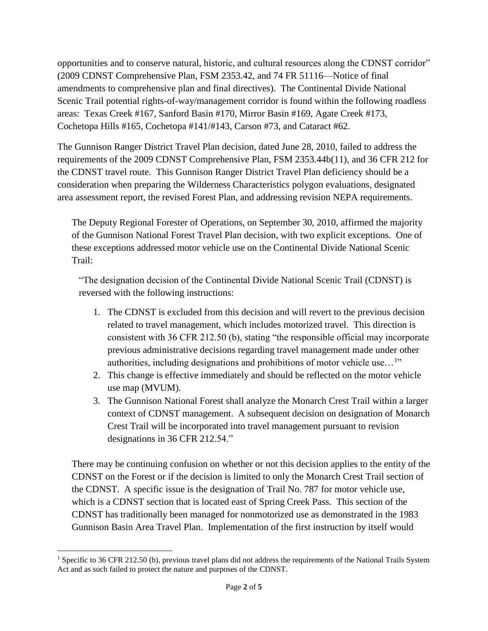opportunities and to conserve natural, historic, and cultural resources along the CDNST corridor" (2009 CDNST Comprehensive Plan, FSM 2353.42, and 74 FR 51116—Notice of final amendments to comprehensive plan and final directives). The Continental Divide National Scenic Trail potential rights-of-way/management corridor is found within the following roadless areas: Texas Creek #167, Sanford Basin #170, Mirror Basin #169, Agate Creek #173, Cochetopa Hills #165, Cochetopa #141/#143, Carson #73, and Cataract #62.

The Gunnison Ranger District Travel Plan decision, dated June 28, 2010, failed to address the requirements of the 2009 CDNST Comprehensive Plan, FSM 2353.44b(11), and 36 CFR 212 for the CDNST travel route. This Gunnison Ranger District Travel Plan deficiency should be a consideration when preparing the Wilderness Characteristics polygon evaluations, designated area assessment report, the revised Forest Plan, and addressing revision NEPA requirements.

The Deputy Regional Forester of Operations, on September 30, 2010, affirmed the majority of the Gunnison National Forest Travel Plan decision, with two explicit exceptions. One of these exceptions addressed motor vehicle use on the Continental Divide National Scenic Trail:

"The designation decision of the Continental Divide National Scenic Trail (CDNST) is reversed with the following instructions:

- 1. The CDNST is excluded from this decision and will revert to the previous decision related to travel management, which includes motorized travel. This direction is consistent with 36 CFR 212.50 (b), stating "the responsible official may incorporate previous administrative decisions regarding travel management made under other authorities, including designations and prohibitions of motor vehicle use...<sup>1</sup>"
- 2. This change is effective immediately and should be reflected on the motor vehicle use map (MVUM).
- 3. The Gunnison National Forest shall analyze the Monarch Crest Trail within a larger context of CDNST management. A subsequent decision on designation of Monarch Crest Trail will be incorporated into travel management pursuant to revision designations in 36 CFR 212.54."

There may be continuing confusion on whether or not this decision applies to the entity of the CDNST on the Forest or if the decision is limited to only the Monarch Crest Trail section of the CDNST. A specific issue is the designation of Trail No. 787 for motor vehicle use, which is a CDNST section that is located east of Spring Creek Pass. This section of the CDNST has traditionally been managed for nonmotorized use as demonstrated in the 1983 Gunnison Basin Area Travel Plan. Implementation of the first instruction by itself would

 $\overline{a}$ 

<sup>&</sup>lt;sup>1</sup> Specific to 36 CFR 212.50 (b), previous travel plans did not address the requirements of the National Trails System Act and as such failed to protect the nature and purposes of the CDNST.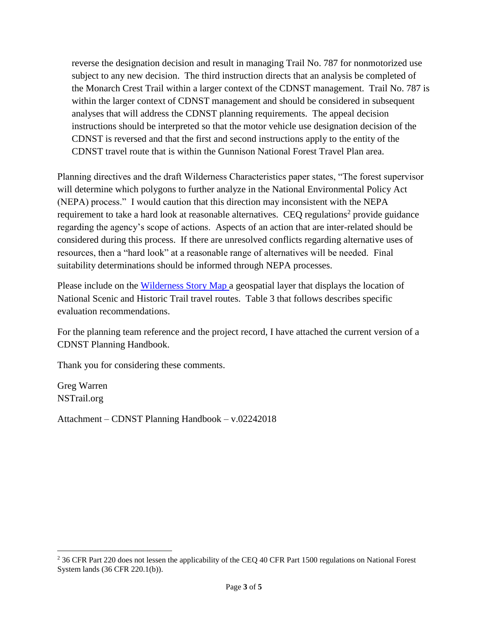reverse the designation decision and result in managing Trail No. 787 for nonmotorized use subject to any new decision. The third instruction directs that an analysis be completed of the Monarch Crest Trail within a larger context of the CDNST management. Trail No. 787 is within the larger context of CDNST management and should be considered in subsequent analyses that will address the CDNST planning requirements. The appeal decision instructions should be interpreted so that the motor vehicle use designation decision of the CDNST is reversed and that the first and second instructions apply to the entity of the CDNST travel route that is within the Gunnison National Forest Travel Plan area.

Planning directives and the draft Wilderness Characteristics paper states, "The forest supervisor will determine which polygons to further analyze in the National Environmental Policy Act (NEPA) process." I would caution that this direction may inconsistent with the NEPA requirement to take a hard look at reasonable alternatives. CEQ regulations<sup>2</sup> provide guidance regarding the agency's scope of actions. Aspects of an action that are inter-related should be considered during this process. If there are unresolved conflicts regarding alternative uses of resources, then a "hard look" at a reasonable range of alternatives will be needed. Final suitability determinations should be informed through NEPA processes.

Please include on the [Wilderness Story](http://links.govdelivery.com/track?type=click&enid=ZWFzPTEmbWFpbGluZ2lkPTIwMTgwMjEyLjg1MjI1MzExJm1lc3NhZ2VpZD1NREItUFJELUJVTC0yMDE4MDIxMi44NTIyNTMxMSZkYXRhYmFzZWlkPTEwMDEmc2VyaWFsPTE3NDkxNzkwJmVtYWlsaWQ9bnN0cmFpbEBjb21jYXN0Lm5ldCZ1c2VyaWQ9bnN0cmFpbEBjb21jYXN0Lm5ldCZmbD0mZXh0cmE9TXVsdGl2YXJpYXRlSWQ9JiYm&&&103&&&https://usfs.maps.arcgis.com/apps/MapSeries/index.html?appid=f79028627ef64aa49c906088b59b6020) Map a geospatial layer that displays the location of National Scenic and Historic Trail travel routes. Table 3 that follows describes specific evaluation recommendations.

For the planning team reference and the project record, I have attached the current version of a CDNST Planning Handbook.

Thank you for considering these comments.

Greg Warren NSTrail.org

 $\overline{a}$ 

Attachment – CDNST Planning Handbook – v.02242018

<sup>&</sup>lt;sup>2</sup> 36 CFR Part 220 does not lessen the applicability of the CEQ 40 CFR Part 1500 regulations on National Forest System lands (36 CFR 220.1(b)).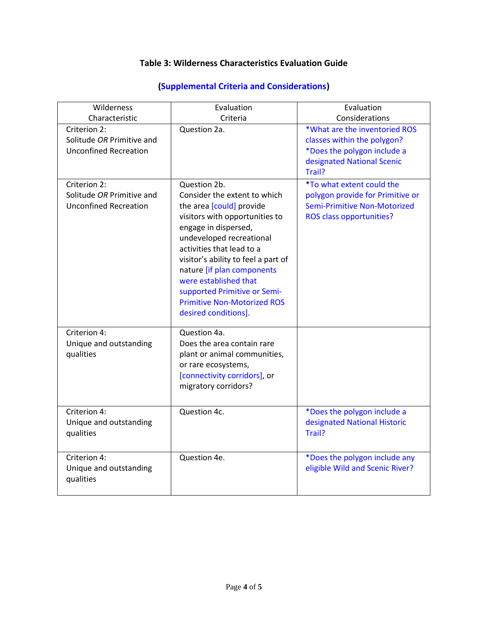## **Table 3: Wilderness Characteristics Evaluation Guide**

| Wilderness                                                                | Evaluation                                                                                                                                                                                                                                                                                                                                                                              | Evaluation                                                                                                                              |
|---------------------------------------------------------------------------|-----------------------------------------------------------------------------------------------------------------------------------------------------------------------------------------------------------------------------------------------------------------------------------------------------------------------------------------------------------------------------------------|-----------------------------------------------------------------------------------------------------------------------------------------|
| Characteristic                                                            | Criteria                                                                                                                                                                                                                                                                                                                                                                                | Considerations                                                                                                                          |
| Criterion 2:<br>Solitude OR Primitive and<br><b>Unconfined Recreation</b> | Question 2a.                                                                                                                                                                                                                                                                                                                                                                            | *What are the inventoried ROS<br>classes within the polygon?<br>*Does the polygon include a<br>designated National Scenic<br>Trail?     |
| Criterion 2:<br>Solitude OR Primitive and<br><b>Unconfined Recreation</b> | Question 2b.<br>Consider the extent to which<br>the area [could] provide<br>visitors with opportunities to<br>engage in dispersed,<br>undeveloped recreational<br>activities that lead to a<br>visitor's ability to feel a part of<br>nature [if plan components<br>were established that<br>supported Primitive or Semi-<br><b>Primitive Non-Motorized ROS</b><br>desired conditions]. | <i>*To what extent could the</i><br>polygon provide for Primitive or<br>Semi-Primitive Non-Motorized<br><b>ROS class opportunities?</b> |
| Criterion 4:<br>Unique and outstanding<br>qualities                       | Question 4a.<br>Does the area contain rare<br>plant or animal communities,<br>or rare ecosystems,<br>[connectivity corridors], or<br>migratory corridors?                                                                                                                                                                                                                               |                                                                                                                                         |
| Criterion 4:<br>Unique and outstanding<br>qualities                       | Question 4c.                                                                                                                                                                                                                                                                                                                                                                            | *Does the polygon include a<br>designated National Historic<br>Trail?                                                                   |
| Criterion 4:<br>Unique and outstanding<br>qualities                       | Question 4e.                                                                                                                                                                                                                                                                                                                                                                            | *Does the polygon include any<br>eligible Wild and Scenic River?                                                                        |

## **(Supplemental Criteria and Considerations)**